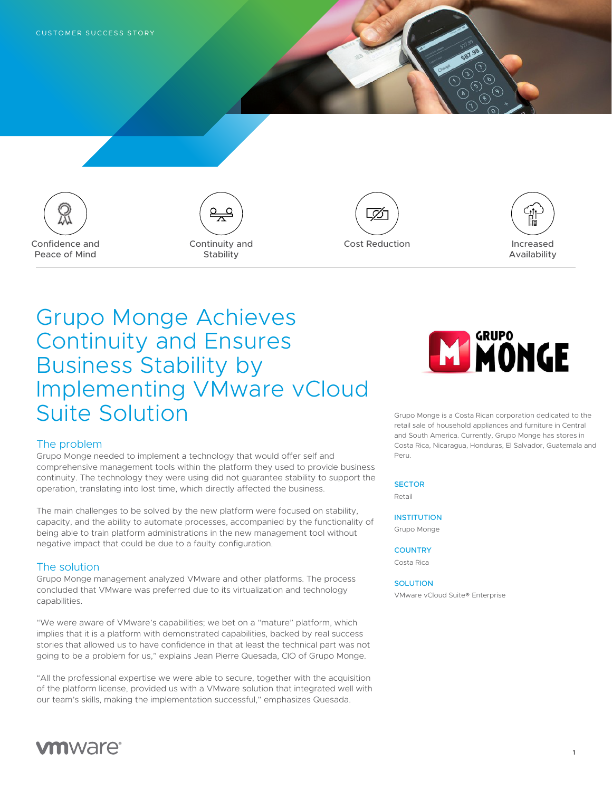







# Grupo Monge Achieves Continuity and Ensures Business Stability by Implementing VMware vCloud Suite Solution

## The problem

Grupo Monge needed to implement a technology that would offer self and comprehensive management tools within the platform they used to provide business continuity. The technology they were using did not guarantee stability to support the operation, translating into lost time, which directly affected the business.

The main challenges to be solved by the new platform were focused on stability, capacity, and the ability to automate processes, accompanied by the functionality of being able to train platform administrations in the new management tool without negative impact that could be due to a faulty configuration.

## The solution

Grupo Monge management analyzed VMware and other platforms. The process concluded that VMware was preferred due to its virtualization and technology capabilities.

"We were aware of VMware's capabilities; we bet on a "mature" platform, which implies that it is a platform with demonstrated capabilities, backed by real success stories that allowed us to have confidence in that at least the technical part was not going to be a problem for us," explains Jean Pierre Quesada, CIO of Grupo Monge.

"All the professional expertise we were able to secure, together with the acquisition of the platform license, provided us with a VMware solution that integrated well with our team's skills, making the implementation successful," emphasizes Quesada.



Grupo Monge is a Costa Rican corporation dedicated to the retail sale of household appliances and furniture in Central and South America. Currently, Grupo Monge has stores in Costa Rica, Nicaragua, Honduras, El Salvador, Guatemala and Peru.

#### **SECTOR**

Retail

## **INSTITUTION**

Grupo Monge

#### **COUNTRY**

Costa Rica

## SOLUTION

VMware vCloud Suite® Enterprise